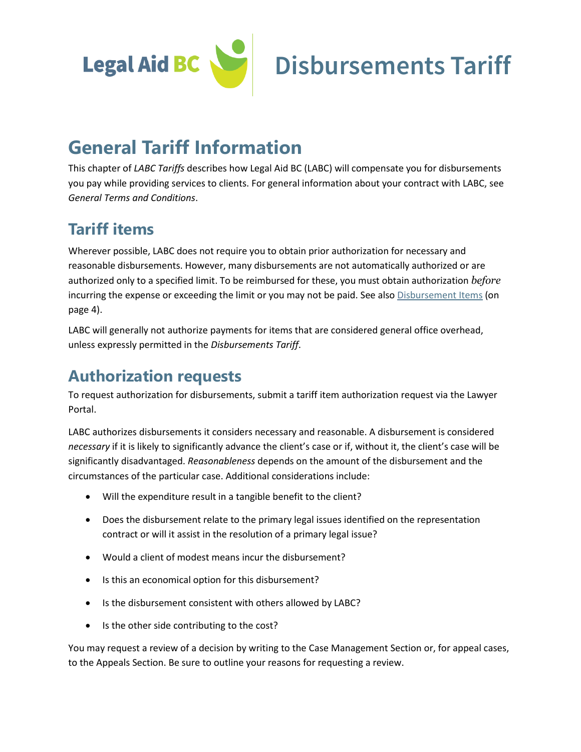

# **General Tariff Information**

This chapter of *LABC Tariffs* describes how Legal Aid BC (LABC) will compensate you for disbursements you pay while providing services to clients. For general information about your contract with LABC, see *General Terms and Conditions*.

### **Tariff items**

Wherever possible, LABC does not require you to obtain prior authorization for necessary and reasonable disbursements. However, many disbursements are not automatically authorized or are authorized only to a specified limit. To be reimbursed for these, you must obtain authorization *before* incurring the expense or exceeding the limit or you may not be paid. See als[o Disbursement Items](#page-3-0) (on page 4).

LABC will generally not authorize payments for items that are considered general office overhead, unless expressly permitted in the *Disbursements Tariff*.

### <span id="page-0-0"></span>**Authorization requests**

To request authorization for disbursements, submit a tariff item authorization request via the Lawyer Portal.

LABC authorizes disbursements it considers necessary and reasonable. A disbursement is considered *necessary* if it is likely to significantly advance the client's case or if, without it, the client's case will be significantly disadvantaged. *Reasonableness* depends on the amount of the disbursement and the circumstances of the particular case. Additional considerations include:

- Will the expenditure result in a tangible benefit to the client?
- Does the disbursement relate to the primary legal issues identified on the representation contract or will it assist in the resolution of a primary legal issue?
- Would a client of modest means incur the disbursement?
- Is this an economical option for this disbursement?
- Is the disbursement consistent with others allowed by LABC?
- Is the other side contributing to the cost?

You may request a review of a decision by writing to the Case Management Section or, for appeal cases, to the Appeals Section. Be sure to outline your reasons for requesting a review.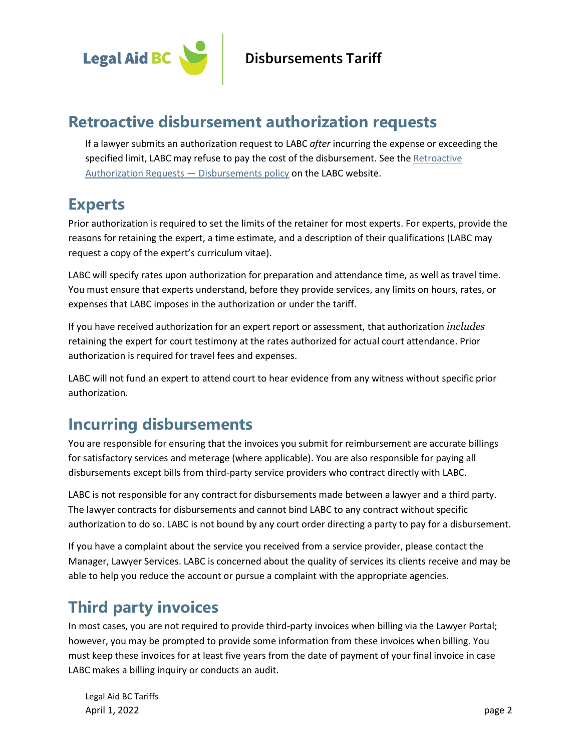

#### **Retroactive disbursement authorization requests**

If a lawyer submits an authorization request to LABC *after* incurring the expense or exceeding the specified limit, LABC may refuse to pay the cost of the disbursement. See th[e Retroactive](https://legalaid.bc.ca/lawyers/policies)  [Authorization Requests](https://legalaid.bc.ca/lawyers/policies) - Disbursements policy on the LABC website.

### <span id="page-1-1"></span>**Experts**

Prior authorization is required to set the limits of the retainer for most experts. For experts, provide the reasons for retaining the expert, a time estimate, and a description of their qualifications (LABC may request a copy of the expert's curriculum vitae).

LABC will specify rates upon authorization for preparation and attendance time, as well as travel time. You must ensure that experts understand, before they provide services, any limits on hours, rates, or expenses that LABC imposes in the authorization or under the tariff.

If you have received authorization for an expert report or assessment, that authorization *includes* retaining the expert for court testimony at the rates authorized for actual court attendance. Prior authorization is required for travel fees and expenses.

LABC will not fund an expert to attend court to hear evidence from any witness without specific prior authorization.

### **Incurring disbursements**

You are responsible for ensuring that the invoices you submit for reimbursement are accurate billings for satisfactory services and meterage (where applicable). You are also responsible for paying all disbursements except bills from third-party service providers who contract directly with LABC.

LABC is not responsible for any contract for disbursements made between a lawyer and a third party. The lawyer contracts for disbursements and cannot bind LABC to any contract without specific authorization to do so. LABC is not bound by any court order directing a party to pay for a disbursement.

If you have a complaint about the service you received from a service provider, please contact the Manager, Lawyer Services. LABC is concerned about the quality of services its clients receive and may be able to help you reduce the account or pursue a complaint with the appropriate agencies.

### <span id="page-1-0"></span>**Third party invoices**

In most cases, you are not required to provide third-party invoices when billing via the Lawyer Portal; however, you may be prompted to provide some information from these invoices when billing. You must keep these invoices for at least five years from the date of payment of your final invoice in case LABC makes a billing inquiry or conducts an audit.

Legal Aid BC Tariffs April 1, 2022 **page 2**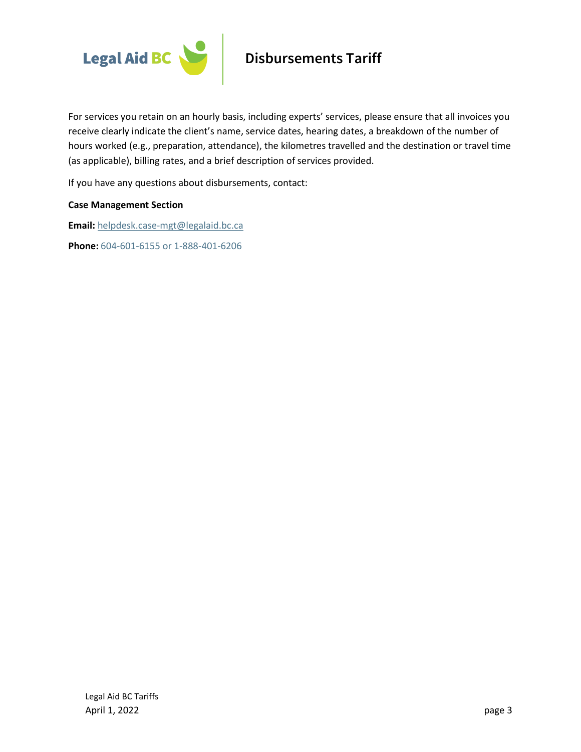

For services you retain on an hourly basis, including experts' services, please ensure that all invoices you receive clearly indicate the client's name, service dates, hearing dates, a breakdown of the number of hours worked (e.g., preparation, attendance), the kilometres travelled and the destination or travel time (as applicable), billing rates, and a brief description of services provided.

If you have any questions about disbursements, contact:

#### **Case Management Section**

**Email:** [helpdesk.case-mgt@legalaid.bc.ca](mailto:helpdesk.case-mgt@legalaid.bc.ca)

**Phone:** 604-601-6155 or 1-888-401-6206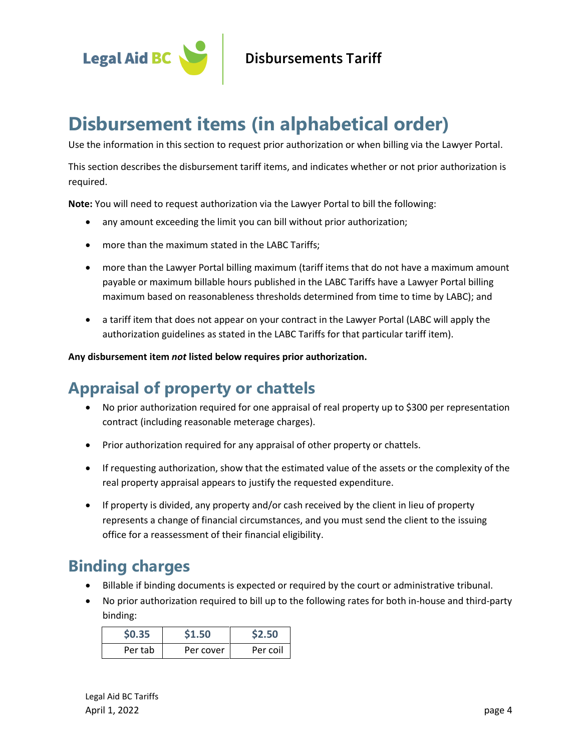

# <span id="page-3-0"></span>**Disbursement items (in alphabetical order)**

Use the information in this section to request prior authorization or when billing via the Lawyer Portal.

This section describes the disbursement tariff items, and indicates whether or not prior authorization is required.

**Note:** You will need to request authorization via the Lawyer Portal to bill the following:

- any amount exceeding the limit you can bill without prior authorization;
- more than the maximum stated in the LABC Tariffs;
- more than the Lawyer Portal billing maximum (tariff items that do not have a maximum amount payable or maximum billable hours published in the LABC Tariffs have a Lawyer Portal billing maximum based on reasonableness thresholds determined from time to time by LABC); and
- a tariff item that does not appear on your contract in the Lawyer Portal (LABC will apply the authorization guidelines as stated in the LABC Tariffs for that particular tariff item).

**Any disbursement item** *not* **listed below requires prior authorization.**

### **Appraisal of property or chattels**

- No prior authorization required for one appraisal of real property up to \$300 per representation contract (including reasonable meterage charges).
- Prior authorization required for any appraisal of other property or chattels.
- If requesting authorization, show that the estimated value of the assets or the complexity of the real property appraisal appears to justify the requested expenditure.
- If property is divided, any property and/or cash received by the client in lieu of property represents a change of financial circumstances, and you must send the client to the issuing office for a reassessment of their financial eligibility.

### **Binding charges**

- Billable if binding documents is expected or required by the court or administrative tribunal.
- No prior authorization required to bill up to the following rates for both in-house and third-party binding:

| \$0.35  | \$1.50    | \$2.50   |
|---------|-----------|----------|
| Per tab | Per cover | Per coil |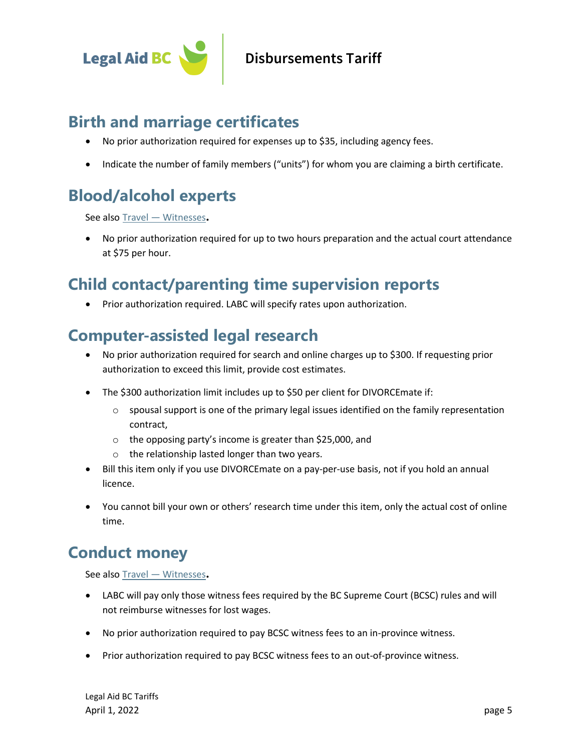

### **Birth and marriage certificates**

- No prior authorization required for expenses up to \$35, including agency fees.
- Indicate the number of family members ("units") for whom you are claiming a birth certificate.

### **Blood/alcohol experts**

See also Travel — [Witnesses](#page-13-0)**.**

• No prior authorization required for up to two hours preparation and the actual court attendance at \$75 per hour.

#### **Child contact/parenting time supervision reports**

• Prior authorization required. LABC will specify rates upon authorization.

#### **Computer-assisted legal research**

- No prior authorization required for search and online charges up to \$300. If requesting prior authorization to exceed this limit, provide cost estimates.
- The \$300 authorization limit includes up to \$50 per client for DIVORCEmate if:
	- $\circ$  spousal support is one of the primary legal issues identified on the family representation contract,
	- o the opposing party's income is greater than \$25,000, and
	- o the relationship lasted longer than two years.
- Bill this item only if you use DIVORCEmate on a pay-per-use basis, not if you hold an annual licence.
- You cannot bill your own or others' research time under this item, only the actual cost of online time.

### <span id="page-4-0"></span>**Conduct money**

See also Travel — [Witnesses](#page-13-0)**.**

- LABC will pay only those witness fees required by the BC Supreme Court (BCSC) rules and will not reimburse witnesses for lost wages.
- No prior authorization required to pay BCSC witness fees to an in-province witness.
- Prior authorization required to pay BCSC witness fees to an out-of-province witness.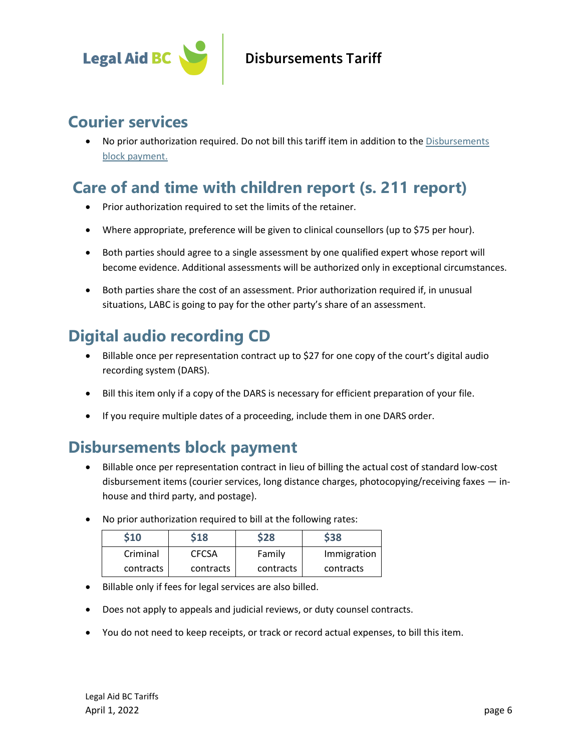

### **Courier services**

• No prior authorization required. Do not bill this tariff item in addition to the [Disbursements](#page-5-0)  [block payment.](#page-5-0)

### **Care of and time with children report (s. 211 report)**

- Prior authorization required to set the limits of the retainer.
- Where appropriate, preference will be given to clinical counsellors (up to \$75 per hour).
- Both parties should agree to a single assessment by one qualified expert whose report will become evidence. Additional assessments will be authorized only in exceptional circumstances.
- Both parties share the cost of an assessment. Prior authorization required if, in unusual situations, LABC is going to pay for the other party's share of an assessment.

### <span id="page-5-1"></span>**Digital audio recording CD**

- Billable once per representation contract up to \$27 for one copy of the court's digital audio recording system (DARS).
- Bill this item only if a copy of the DARS is necessary for efficient preparation of your file.
- If you require multiple dates of a proceeding, include them in one DARS order.

### <span id="page-5-0"></span>**Disbursements block payment**

- Billable once per representation contract in lieu of billing the actual cost of standard low-cost disbursement items (courier services, long distance charges, photocopying/receiving faxes — inhouse and third party, and postage).
- No prior authorization required to bill at the following rates:

| \$10      | \$18         | \$28      | \$38        |
|-----------|--------------|-----------|-------------|
| Criminal  | <b>CFCSA</b> | Family    | Immigration |
| contracts | contracts    | contracts | contracts   |

- Billable only if fees for legal services are also billed.
- Does not apply to appeals and judicial reviews, or duty counsel contracts.
- You do not need to keep receipts, or track or record actual expenses, to bill this item.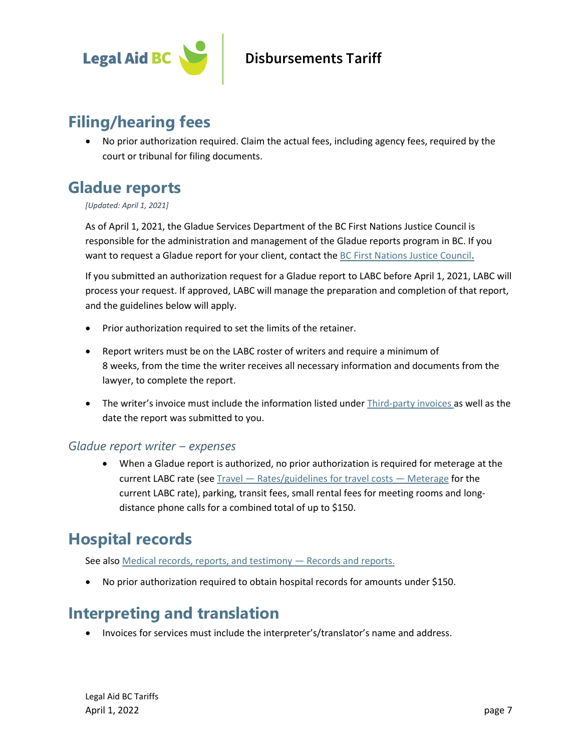

### **Filing/hearing fees**

• No prior authorization required. Claim the actual fees, including agency fees, required by the court or tribunal for filing documents.

### **Gladue reports**

*[Updated: April 1, 2021]*

As of April 1, 2021, the Gladue Services Department of the BC First Nations Justice Council is responsible for the administration and management of the Gladue reports program in BC. If you want to request a Gladue report for your client, contact th[e BC First Nations Justice Council](https://bcfnjc.com/gladue-reports/)**.**

If you submitted an authorization request for a Gladue report to LABC before April 1, 2021, LABC will process your request. If approved, LABC will manage the preparation and completion of that report, and the guidelines below will apply.

- Prior authorization required to set the limits of the retainer.
- Report writers must be on the LABC roster of writers and require a minimum of 8 weeks, from the time the writer receives all necessary information and documents from the lawyer, to complete the report.
- The writer's invoice must include the information listed under [Third-party invoices](#page-1-0) as well as the date the report was submitted to you.

#### *Gladue report writer – expenses*

• When a Gladue report is authorized, no prior authorization is required for meterage at the current LABC rate (see Travel — [Rates/guidelines for travel costs](#page-15-0) — Meterage for the current LABC rate), parking, transit fees, small rental fees for meeting rooms and longdistance phone calls for a combined total of up to \$150.

### **Hospital records**

See als[o Medical records, reports, and testimony](#page-9-0) - Records and reports.

• No prior authorization required to obtain hospital records for amounts under \$150.

### **Interpreting and translation**

• Invoices for services must include the interpreter's/translator's name and address.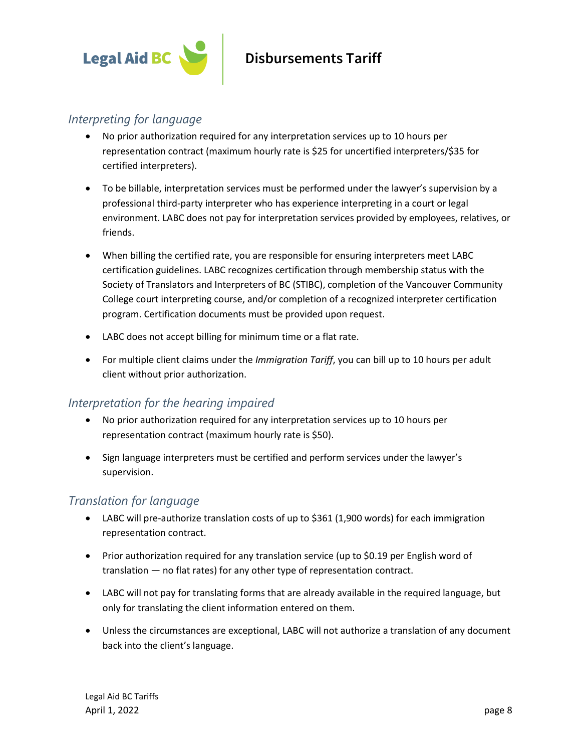

#### *Interpreting for language*

- No prior authorization required for any interpretation services up to 10 hours per representation contract (maximum hourly rate is \$25 for uncertified interpreters/\$35 for certified interpreters).
- To be billable, interpretation services must be performed under the lawyer's supervision by a professional third-party interpreter who has experience interpreting in a court or legal environment. LABC does not pay for interpretation services provided by employees, relatives, or friends.
- When billing the certified rate, you are responsible for ensuring interpreters meet LABC certification guidelines. LABC recognizes certification through membership status with the Society of Translators and Interpreters of BC (STIBC), completion of the Vancouver Community College court interpreting course, and/or completion of a recognized interpreter certification program. Certification documents must be provided upon request.
- LABC does not accept billing for minimum time or a flat rate.
- For multiple client claims under the *Immigration Tariff*, you can bill up to 10 hours per adult client without prior authorization.

#### *Interpretation for the hearing impaired*

- No prior authorization required for any interpretation services up to 10 hours per representation contract (maximum hourly rate is \$50).
- Sign language interpreters must be certified and perform services under the lawyer's supervision.

#### *Translation for language*

- LABC will pre-authorize translation costs of up to \$361 (1,900 words) for each immigration representation contract.
- Prior authorization required for any translation service (up to \$0.19 per English word of translation — no flat rates) for any other type of representation contract.
- LABC will not pay for translating forms that are already available in the required language, but only for translating the client information entered on them.
- Unless the circumstances are exceptional, LABC will not authorize a translation of any document back into the client's language.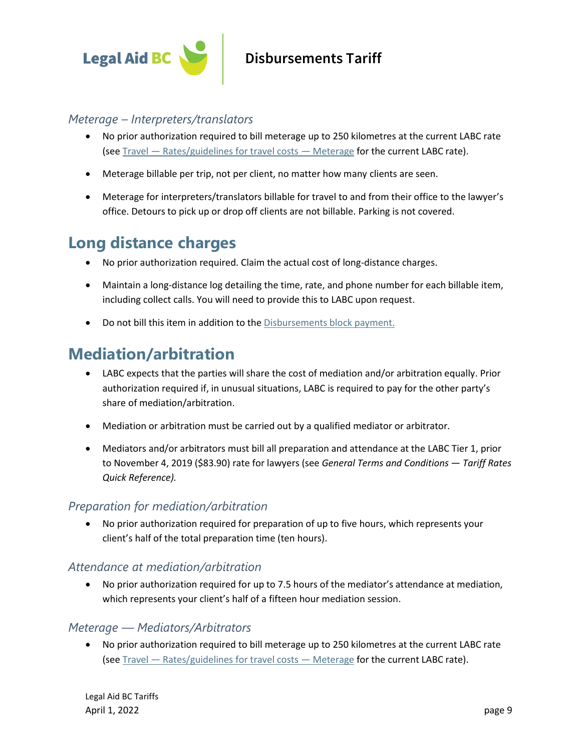

#### *Meterage – Interpreters/translators*

- No prior authorization required to bill meterage up to 250 kilometres at the current LABC rate (see Travel — [Rates/guidelines for travel costs](#page-15-0) — Meterage for the current LABC rate).
- Meterage billable per trip, not per client, no matter how many clients are seen.
- Meterage for interpreters/translators billable for travel to and from their office to the lawyer's office. Detours to pick up or drop off clients are not billable. Parking is not covered.

### **Long distance charges**

- No prior authorization required. Claim the actual cost of long-distance charges.
- Maintain a long-distance log detailing the time, rate, and phone number for each billable item, including collect calls. You will need to provide this to LABC upon request.
- Do not bill this item in addition to the [Disbursements block payment.](#page-5-0)

#### **Mediation/arbitration**

- LABC expects that the parties will share the cost of mediation and/or arbitration equally. Prior authorization required if, in unusual situations, LABC is required to pay for the other party's share of mediation/arbitration.
- Mediation or arbitration must be carried out by a qualified mediator or arbitrator.
- Mediators and/or arbitrators must bill all preparation and attendance at the LABC Tier 1, prior to November 4, 2019 (\$83.90) rate for lawyers (see *[General Terms and Conditions](http://www.lss.bc.ca/assets/lawyers/tariffGuide/gtc/gtcApril2015.pdf) — Tariff Rates Quick Reference).*

#### *Preparation for mediation/arbitration*

• No prior authorization required for preparation of up to five hours, which represents your client's half of the total preparation time (ten hours).

#### *Attendance at mediation/arbitration*

• No prior authorization required for up to 7.5 hours of the mediator's attendance at mediation, which represents your client's half of a fifteen hour mediation session.

#### *Meterage — Mediators/Arbitrators*

• No prior authorization required to bill meterage up to 250 kilometres at the current LABC rate (see Travel — [Rates/guidelines for travel costs](#page-15-0) — Meterage for the current LABC rate).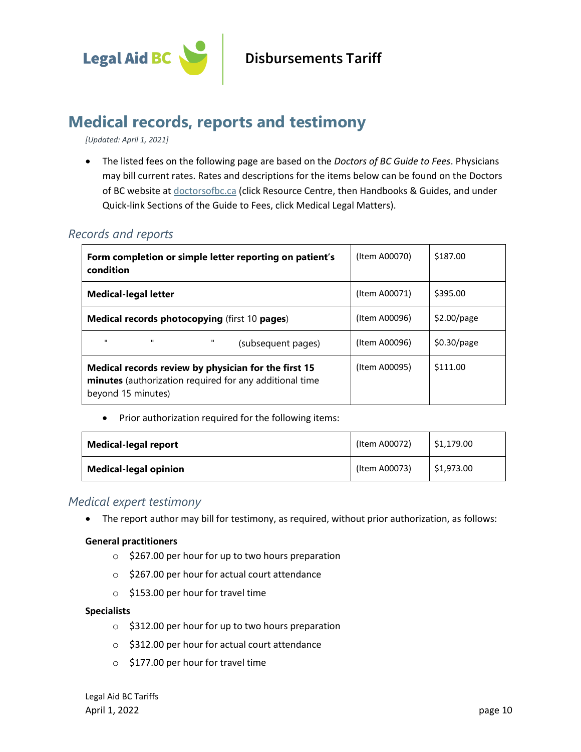

### **Medical records, reports and testimony**

*[Updated: April 1, 2021]*

• The listed fees on the following page are based on the *Doctors of BC Guide to Fees*. Physicians may bill current rates. Rates and descriptions for the items below can be found on the Doctors of BC website at **doctorsofbc.ca** (click Resource Centre, then Handbooks & Guides, and under Quick-link Sections of the Guide to Fees, click Medical Legal Matters).

#### <span id="page-9-0"></span>*Records and reports*

| Form completion or simple letter reporting on patient's<br>condition                                                                  | (Item A00070) | \$187.00      |
|---------------------------------------------------------------------------------------------------------------------------------------|---------------|---------------|
| <b>Medical-legal letter</b>                                                                                                           | (Item A00071) | \$395.00      |
| <b>Medical records photocopying (first 10 pages)</b>                                                                                  | (Item A00096) | $$2.00$ /page |
| $\mathbf{H}$<br>$\mathbf{u}$<br>(subsequent pages)                                                                                    | (Item A00096) | $$0.30$ /page |
| Medical records review by physician for the first 15<br>minutes (authorization required for any additional time<br>beyond 15 minutes) | (Item A00095) | \$111.00      |

• Prior authorization required for the following items:

| <b>Medical-legal report</b>  | (Item A00072) | \$1.179.00 |
|------------------------------|---------------|------------|
| <b>Medical-legal opinion</b> | (Item A00073) | \$1,973.00 |

#### *Medical expert testimony*

• The report author may bill for testimony, as required, without prior authorization, as follows:

#### **General practitioners**

- o \$267.00 per hour for up to two hours preparation
- o \$267.00 per hour for actual court attendance
- o \$153.00 per hour for travel time

#### **Specialists**

- $\circ$  \$312.00 per hour for up to two hours preparation
- o \$312.00 per hour for actual court attendance
- o \$177.00 per hour for travel time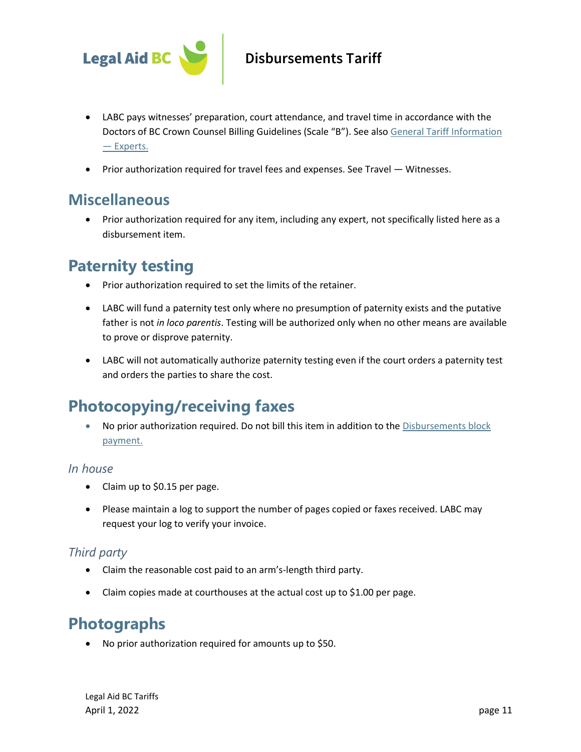

- LABC pays witnesses' preparation, court attendance, and travel time in accordance with the Doctors of BC Crown Counsel Billing Guidelines (Scale "B"). See also [General Tariff Information](#page-1-1)  — [Experts.](#page-1-1)
- Prior authorization required for travel fees and expenses. See Travel [Witnesses.](#page-13-0)

#### **Miscellaneous**

• Prior authorization required for any item, including any expert, not specifically listed here as a disbursement item.

#### **Paternity testing**

- Prior authorization required to set the limits of the retainer.
- LABC will fund a paternity test only where no presumption of paternity exists and the putative father is not *in loco parentis*. Testing will be authorized only when no other means are available to prove or disprove paternity.
- LABC will not automatically authorize paternity testing even if the court orders a paternity test and orders the parties to share the cost.

### **Photocopying/receiving faxes**

• No prior authorization required. Do not bill this item in addition to the Disbursements block [payment.](#page-5-0)

#### *In house*

- Claim up to \$0.15 per page.
- Please maintain a log to support the number of pages copied or faxes received. LABC may request your log to verify your invoice.

#### *Third party*

- Claim the reasonable cost paid to an arm's-length third party.
- Claim copies made at courthouses at the actual cost up to \$1.00 per page.

### **Photographs**

• No prior authorization required for amounts up to \$50.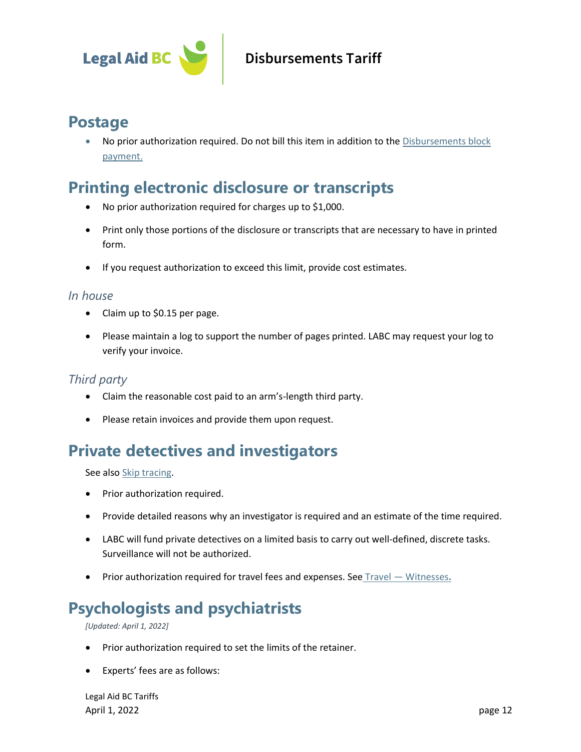

#### **Postage**

• No prior authorization required. Do not bill this item in addition to the [Disbursements block](#page-5-0)  [payment.](#page-5-0)

### <span id="page-11-1"></span>**Printing electronic disclosure or transcripts**

- No prior authorization required for charges up to \$1,000.
- Print only those portions of the disclosure or transcripts that are necessary to have in printed form.
- If you request authorization to exceed this limit, provide cost estimates.

#### *In house*

- Claim up to \$0.15 per page.
- Please maintain a log to support the number of pages printed. LABC may request your log to verify your invoice.

#### *Third party*

- Claim the reasonable cost paid to an arm's-length third party.
- Please retain invoices and provide them upon request.

### <span id="page-11-0"></span>**Private detectives and investigators**

See also [Skip tracing.](#page-12-0)

- Prior authorization required.
- Provide detailed reasons why an investigator is required and an estimate of the time required.
- LABC will fund private detectives on a limited basis to carry out well-defined, discrete tasks. Surveillance will not be authorized.
- Prior authorization required for travel fees and expenses. See Travel [Witnesses](#page-13-0)**.**

### **Psychologists and psychiatrists**

*[Updated: April 1, 2022]*

- Prior authorization required to set the limits of the retainer.
- Experts' fees are as follows:

Legal Aid BC Tariffs April 1, 2022 **page 12**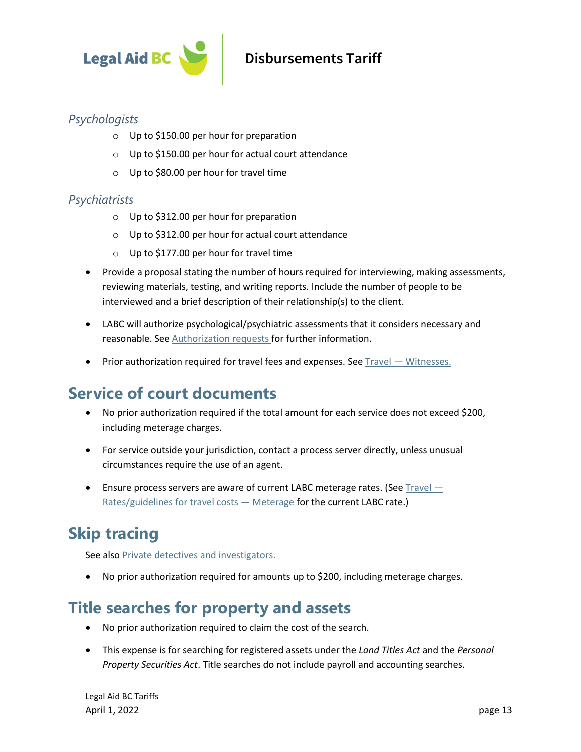

#### *Psychologists*

- o Up to \$150.00 per hour for preparation
- o Up to \$150.00 per hour for actual court attendance
- o Up to \$80.00 per hour for travel time

#### *Psychiatrists*

- o Up to \$312.00 per hour for preparation
- o Up to \$312.00 per hour for actual court attendance
- o Up to \$177.00 per hour for travel time
- Provide a proposal stating the number of hours required for interviewing, making assessments, reviewing materials, testing, and writing reports. Include the number of people to be interviewed and a brief description of their relationship(s) to the client.
- LABC will authorize psychological/psychiatric assessments that it considers necessary and reasonable. See [Authorization requests](#page-0-0) for further information.
- Prior authorization required for travel fees and expenses. See Travel [Witnesses.](#page-13-0)

### **Service of court documents**

- No prior authorization required if the total amount for each service does not exceed \$200, including meterage charges.
- For service outside your jurisdiction, contact a process server directly, unless unusual circumstances require the use of an agent.
- Ensure process servers are aware of current LABC meterage rates. (Se[e Travel](#page-15-0)  $-$ [Rates/guidelines for travel costs](#page-15-0) - Meterage for the current LABC rate.)

# <span id="page-12-0"></span>**Skip tracing**

See als[o Private detectives and investigators.](#page-11-0)

• No prior authorization required for amounts up to \$200, including meterage charges.

### **Title searches for property and assets**

- No prior authorization required to claim the cost of the search.
- This expense is for searching for registered assets under the *Land Titles Act* and the *Personal Property Securities Act*. Title searches do not include payroll and accounting searches.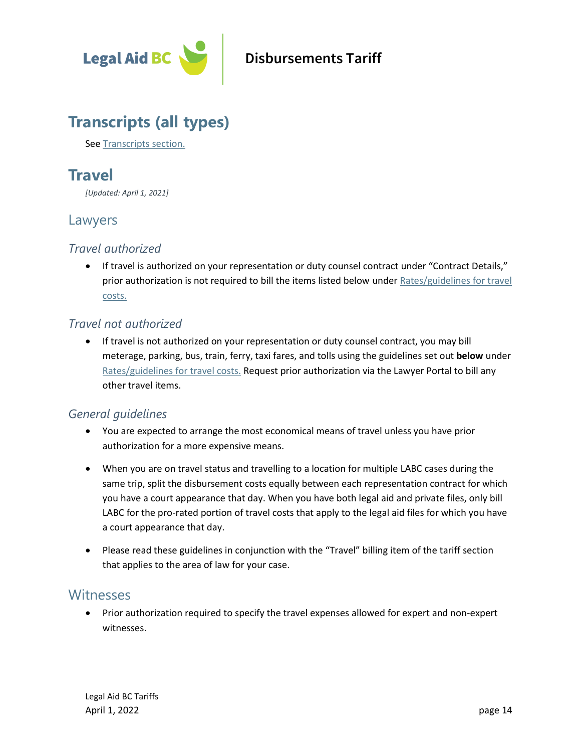

### **Transcripts (all types)**

See [Transcripts](#page-16-0) [section.](#page-16-0)

### **Travel**

*[Updated: April 1, 2021]*

#### Lawyers

#### *Travel authorized*

• If travel is authorized on your representation or duty counsel contract under "Contract Details," prior authorization is not required to bill the items listed below under Rates/guidelines for travel [costs.](#page-14-0)

#### *Travel not authorized*

• If travel is not authorized on your representation or duty counsel contract, you may bill meterage, parking, bus, train, ferry, taxi fares, and tolls using the guidelines set out **below** under [Rates/guidelines for travel costs.](#page-14-0) Request prior authorization via the Lawyer Portal to bill any other travel items.

#### *General guidelines*

- You are expected to arrange the most economical means of travel unless you have prior authorization for a more expensive means.
- When you are on travel status and travelling to a location for multiple LABC cases during the same trip, split the disbursement costs equally between each representation contract for which you have a court appearance that day. When you have both legal aid and private files, only bill LABC for the pro-rated portion of travel costs that apply to the legal aid files for which you have a court appearance that day.
- Please read these guidelines in conjunction with the "Travel" billing item of the tariff section that applies to the area of law for your case.

#### <span id="page-13-0"></span>**Witnesses**

• Prior authorization required to specify the travel expenses allowed for expert and non-expert witnesses.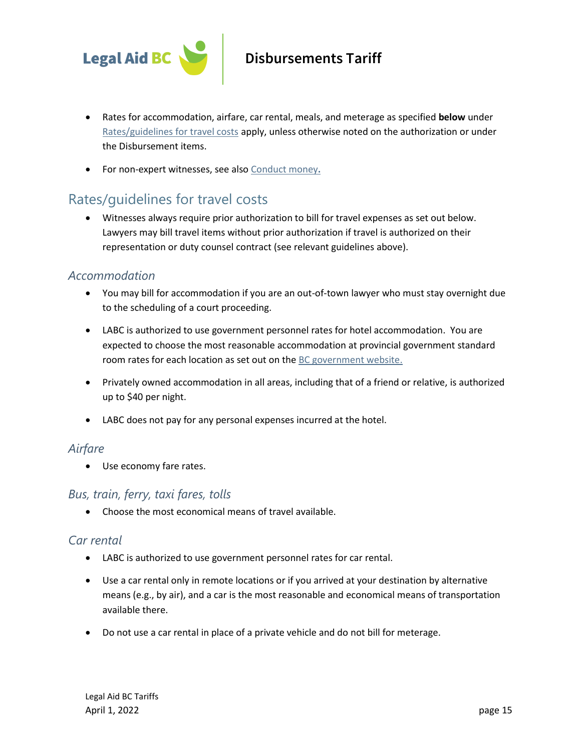

- Rates for accommodation, airfare, car rental, meals, and meterage as specified **below** under [Rates/guidelines for travel costs](#page-14-0) apply, unless otherwise noted on the authorization or under the Disbursement items.
- For non-expert witnesses, see als[o Conduct money](#page-4-0)**.**

#### <span id="page-14-0"></span>Rates/guidelines for travel costs

• Witnesses always require prior authorization to bill for travel expenses as set out below. Lawyers may bill travel items without prior authorization if travel is authorized on their representation or duty counsel contract (see relevant guidelines above).

#### *Accommodation*

- You may bill for accommodation if you are an out-of-town lawyer who must stay overnight due to the scheduling of a court proceeding.
- LABC is authorized to use government personnel rates for hotel accommodation. You are expected to choose the most reasonable accommodation at provincial government standard room rates for each location as set out on th[e BC government website.](http://csa.pss.gov.bc.ca/businesstravel/)
- Privately owned accommodation in all areas, including that of a friend or relative, is authorized up to \$40 per night.
- LABC does not pay for any personal expenses incurred at the hotel.

#### *Airfare*

• Use economy fare rates.

#### *Bus, train, ferry, taxi fares, tolls*

• Choose the most economical means of travel available.

#### *Car rental*

- LABC is authorized to use government personnel rates for car rental.
- Use a car rental only in remote locations or if you arrived at your destination by alternative means (e.g., by air), and a car is the most reasonable and economical means of transportation available there.
- Do not use a car rental in place of a private vehicle and do not bill for meterage.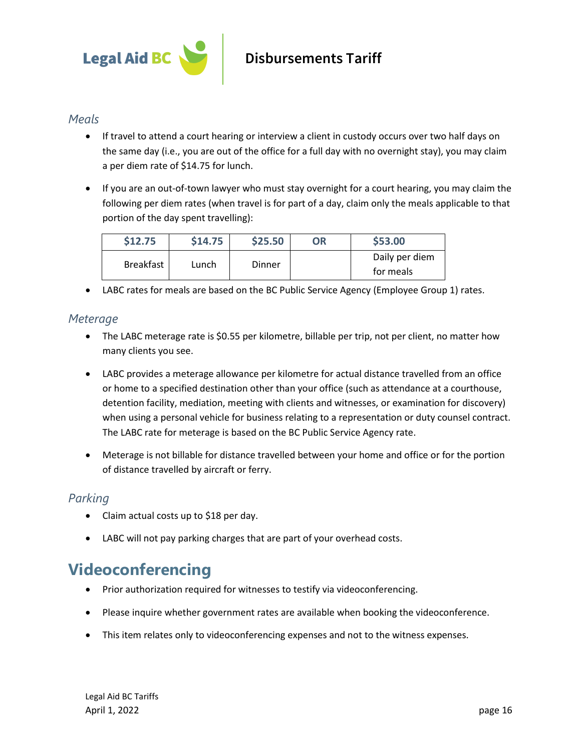

#### *Meals*

- If travel to attend a court hearing or interview a client in custody occurs over two half days on the same day (i.e., you are out of the office for a full day with no overnight stay), you may claim a per diem rate of \$14.75 for lunch.
- If you are an out-of-town lawyer who must stay overnight for a court hearing, you may claim the following per diem rates (when travel is for part of a day, claim only the meals applicable to that portion of the day spent travelling):

| \$14.75 | \$25.50 | <b>OR</b> | \$53.00                     |
|---------|---------|-----------|-----------------------------|
| Lunch   | Dinner  |           | Daily per diem<br>for meals |
|         |         |           |                             |

• LABC rates for meals are based on the BC Public Service Agency (Employee Group 1) rates.

#### <span id="page-15-0"></span>*Meterage*

- The LABC meterage rate is \$0.55 per kilometre, billable per trip, not per client, no matter how many clients you see.
- LABC provides a meterage allowance per kilometre for actual distance travelled from an office or home to a specified destination other than your office (such as attendance at a courthouse, detention facility, mediation, meeting with clients and witnesses, or examination for discovery) when using a personal vehicle for business relating to a representation or duty counsel contract. The LABC rate for meterage is based on the BC Public Service Agency rate.
- Meterage is not billable for distance travelled between your home and office or for the portion of distance travelled by aircraft or ferry.

#### *Parking*

- Claim actual costs up to \$18 per day.
- LABC will not pay parking charges that are part of your overhead costs.

### **Videoconferencing**

- Prior authorization required for witnesses to testify via videoconferencing.
- Please inquire whether government rates are available when booking the videoconference.
- This item relates only to videoconferencing expenses and not to the witness expenses.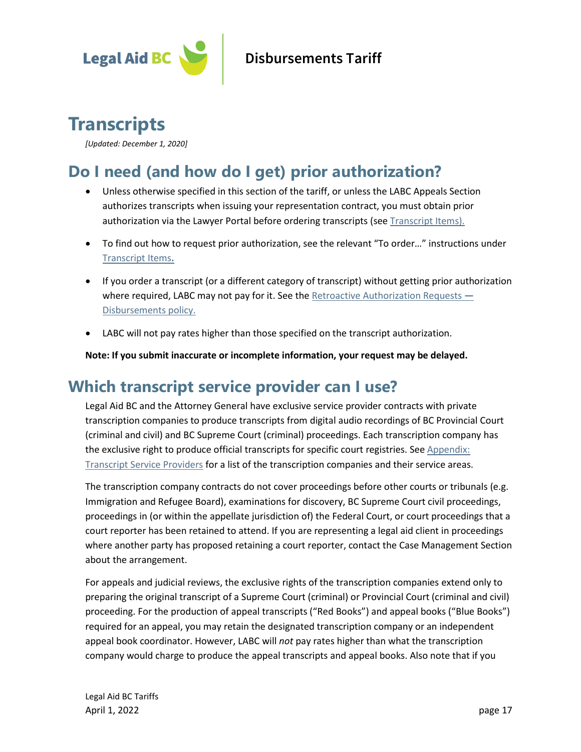

# <span id="page-16-0"></span>**Transcripts**

*[Updated: December 1, 2020]*

# **Do I need (and how do I get) prior authorization?**

- Unless otherwise specified in this section of the tariff, or unless the LABC Appeals Section authorizes transcripts when issuing your representation contract, you must obtain prior authorization via the Lawyer Portal before ordering transcripts (see [Transcript Items\)](#page-19-0).
- To find out how to request prior authorization, see the relevant "To order…" instructions under [Transcript Items](#page-19-0)**.**
- If you order a transcript (or a different category of transcript) without getting prior authorization where required, LABC may not pay for it. See th[e Retroactive Authorization Requests](https://legalaid.bc.ca/lawyers/policies) **—** [Disbursements policy.](https://legalaid.bc.ca/lawyers/policies)
- LABC will not pay rates higher than those specified on the transcript authorization.

**Note: If you submit inaccurate or incomplete information, your request may be delayed.**

### **Which transcript service provider can I use?**

Legal Aid BC and the Attorney General have exclusive service provider contracts with private transcription companies to produce transcripts from digital audio recordings of BC Provincial Court (criminal and civil) and BC Supreme Court (criminal) proceedings. Each transcription company has the exclusive right to produce official transcripts for specific court registries. See [Appendix:](#page-26-0)  [Transcript Service Providers](#page-26-0) for a list of the transcription companies and their service areas.

The transcription company contracts do not cover proceedings before other courts or tribunals (e.g. Immigration and Refugee Board), examinations for discovery, BC Supreme Court civil proceedings, proceedings in (or within the appellate jurisdiction of) the Federal Court, or court proceedings that a court reporter has been retained to attend. If you are representing a legal aid client in proceedings where another party has proposed retaining a court reporter, contact the Case Management Section about the arrangement.

For appeals and judicial reviews, the exclusive rights of the transcription companies extend only to preparing the original transcript of a Supreme Court (criminal) or Provincial Court (criminal and civil) proceeding. For the production of appeal transcripts ("Red Books") and appeal books ("Blue Books") required for an appeal, you may retain the designated transcription company or an independent appeal book coordinator. However, LABC will *not* pay rates higher than what the transcription company would charge to produce the appeal transcripts and appeal books. Also note that if you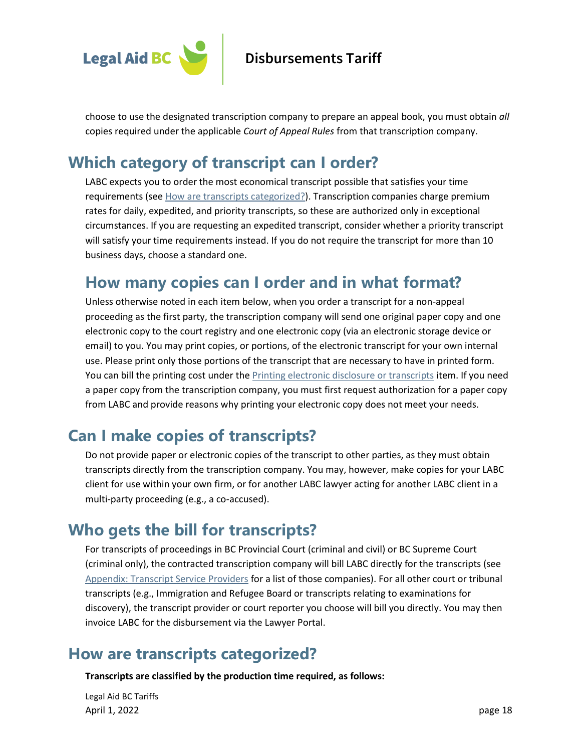

choose to use the designated transcription company to prepare an appeal book, you must obtain *all* copies required under the applicable *Court of Appeal Rules* from that transcription company.

### **Which category of transcript can I order?**

LABC expects you to order the most economical transcript possible that satisfies your time requirements (see [How are transcripts categorized?\)](#page-17-0). Transcription companies charge premium rates for daily, expedited, and priority transcripts, so these are authorized only in exceptional circumstances. If you are requesting an expedited transcript, consider whether a priority transcript will satisfy your time requirements instead. If you do not require the transcript for more than 10 business days, choose a standard one.

#### **How many copies can I order and in what format?**

Unless otherwise noted in each item below, when you order a transcript for a non-appeal proceeding as the first party, the transcription company will send one original paper copy and one electronic copy to the court registry and one electronic copy (via an electronic storage device or email) to you. You may print copies, or portions, of the electronic transcript for your own internal use. Please print only those portions of the transcript that are necessary to have in printed form. You can bill the printing cost under the [Printing electronic disclosure or transcripts](#page-11-1) item. If you need a paper copy from the transcription company, you must first request authorization for a paper copy from LABC and provide reasons why printing your electronic copy does not meet your needs.

### **Can I make copies of transcripts?**

Do not provide paper or electronic copies of the transcript to other parties, as they must obtain transcripts directly from the transcription company. You may, however, make copies for your LABC client for use within your own firm, or for another LABC lawyer acting for another LABC client in a multi-party proceeding (e.g., a co-accused).

### **Who gets the bill for transcripts?**

For transcripts of proceedings in BC Provincial Court (criminal and civil) or BC Supreme Court (criminal only), the contracted transcription company will bill LABC directly for the transcripts (see [Appendix: Transcript Service Providers](#page-26-0) for a list of those companies). For all other court or tribunal transcripts (e.g., Immigration and Refugee Board or transcripts relating to examinations for discovery), the transcript provider or court reporter you choose will bill you directly. You may then invoice LABC for the disbursement via the Lawyer Portal.

### <span id="page-17-0"></span>**How are transcripts categorized?**

**Transcripts are classified by the production time required, as follows:**

Legal Aid BC Tariffs April 1, 2022 page 18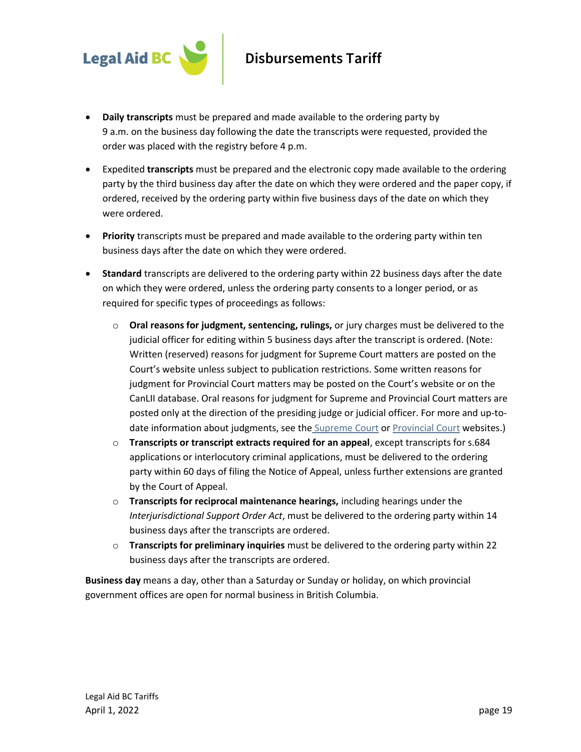

- **Daily transcripts** must be prepared and made available to the ordering party by 9 a.m. on the business day following the date the transcripts were requested, provided the order was placed with the registry before 4 p.m.
- Expedited **transcripts** must be prepared and the electronic copy made available to the ordering party by the third business day after the date on which they were ordered and the paper copy, if ordered, received by the ordering party within five business days of the date on which they were ordered.
- **Priority** transcripts must be prepared and made available to the ordering party within ten business days after the date on which they were ordered.
- **Standard** transcripts are delivered to the ordering party within 22 business days after the date on which they were ordered, unless the ordering party consents to a longer period, or as required for specific types of proceedings as follows:
	- o **Oral reasons for judgment, sentencing, rulings,** or jury charges must be delivered to the judicial officer for editing within 5 business days after the transcript is ordered. (Note: Written (reserved) reasons for judgment for Supreme Court matters are posted on the Court's website unless subject to publication restrictions. Some written reasons for judgment for Provincial Court matters may be posted on the Court's website or on the CanLII database. Oral reasons for judgment for Supreme and Provincial Court matters are posted only at the direction of the presiding judge or judicial officer. For more and up-todate information about judgments, see the **[Supreme Court](https://www.bccourts.ca/supreme_court/about_judgments.aspx) o[r Provincial Court](https://www.provincialcourt.bc.ca/judgments-decisions) websites.**)
	- o **Transcripts or transcript extracts required for an appeal**, except transcripts for s.684 applications or interlocutory criminal applications, must be delivered to the ordering party within 60 days of filing the Notice of Appeal, unless further extensions are granted by the Court of Appeal.
	- o **Transcripts for reciprocal maintenance hearings,** including hearings under the *Interjurisdictional Support Order Act*, must be delivered to the ordering party within 14 business days after the transcripts are ordered.
	- o **Transcripts for preliminary inquiries** must be delivered to the ordering party within 22 business days after the transcripts are ordered.

**Business day** means a day, other than a Saturday or Sunday or holiday, on which provincial government offices are open for normal business in British Columbia.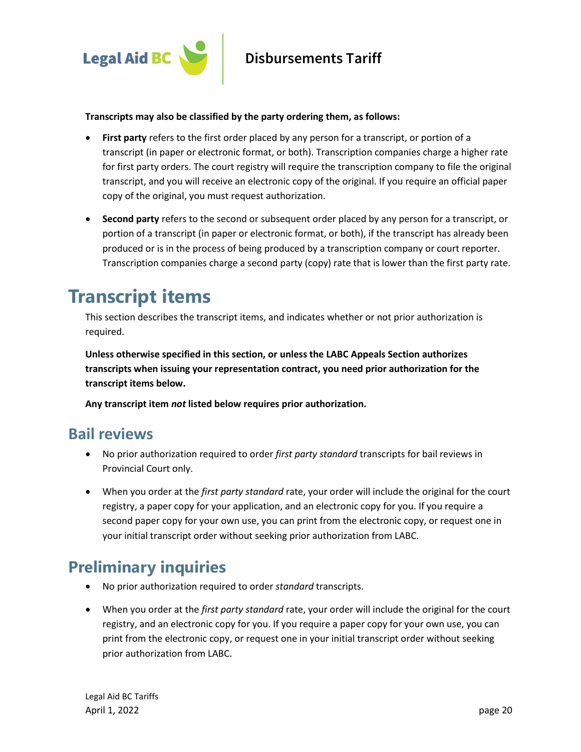

#### **Transcripts may also be classified by the party ordering them, as follows:**

- **First party** refers to the first order placed by any person for a transcript, or portion of a transcript (in paper or electronic format, or both). Transcription companies charge a higher rate for first party orders. The court registry will require the transcription company to file the original transcript, and you will receive an electronic copy of the original. If you require an official paper copy of the original, you must request authorization.
- **Second party** refers to the second or subsequent order placed by any person for a transcript, or portion of a transcript (in paper or electronic format, or both), if the transcript has already been produced or is in the process of being produced by a transcription company or court reporter. Transcription companies charge a second party (copy) rate that is lower than the first party rate.

# <span id="page-19-0"></span>**Transcript items**

This section describes the transcript items, and indicates whether or not prior authorization is required.

**Unless otherwise specified in this section, or unless the LABC Appeals Section authorizes transcripts when issuing your representation contract, you need prior authorization for the transcript items below.** 

**Any transcript item** *not* **listed below requires prior authorization.**

#### **Bail reviews**

- No prior authorization required to order *first party standard* transcripts for bail reviews in Provincial Court only.
- When you order at the *first party standard* rate, your order will include the original for the court registry, a paper copy for your application, and an electronic copy for you. If you require a second paper copy for your own use, you can print from the electronic copy, or request one in your initial transcript order without seeking prior authorization from LABC.

### **Preliminary inquiries**

- No prior authorization required to order *standard* transcripts.
- When you order at the *first party standard* rate, your order will include the original for the court registry, and an electronic copy for you. If you require a paper copy for your own use, you can print from the electronic copy, or request one in your initial transcript order without seeking prior authorization from LABC.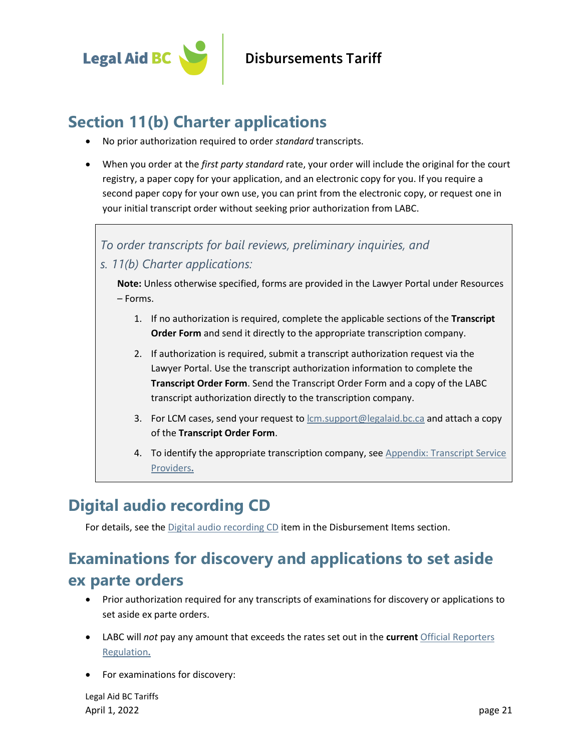

### **Section 11(b) Charter applications**

- No prior authorization required to order *standard* transcripts.
- When you order at the *first party standard* rate, your order will include the original for the court registry, a paper copy for your application, and an electronic copy for you. If you require a second paper copy for your own use, you can print from the electronic copy, or request one in your initial transcript order without seeking prior authorization from LABC.

#### *To order transcripts for bail reviews, preliminary inquiries, and*

*s. 11(b) Charter applications:*

**Note:** Unless otherwise specified, forms are provided in the Lawyer Portal under Resources – Forms.

- 1. If no authorization is required, complete the applicable sections of the **Transcript Order Form** and send it directly to the appropriate transcription company.
- 2. If authorization is required, submit a transcript authorization request via the Lawyer Portal. Use the transcript authorization information to complete the **Transcript Order Form**. Send the Transcript Order Form and a copy of the LABC transcript authorization directly to the transcription company.
- 3. For LCM cases, send your request to [lcm.support@legalaid.bc.ca](mailto:lcm.support@legalaid.bc.ca) and attach a copy of the **Transcript Order Form**.
- 4. To identify the appropriate transcription company, see [Appendix: Transcript](#page-26-0) Service [Providers](#page-26-0)**.**

### **Digital audio recording CD**

For details, see the [Digital audio recording CD](#page-5-1) item in the Disbursement Items section.

# **Examinations for discovery and applications to set aside ex parte orders**

- Prior authorization required for any transcripts of examinations for discovery or applications to set aside ex parte orders.
- LABC will *not* pay any amount that exceeds the rates set out in the **current** [Official Reporters](http://www.bclaws.ca/EPLibraries/bclaws_new/document/ID/freeside/222_84)  [Regulation](http://www.bclaws.ca/EPLibraries/bclaws_new/document/ID/freeside/222_84)**.**
- For examinations for discovery:

Legal Aid BC Tariffs April 1, 2022 page 21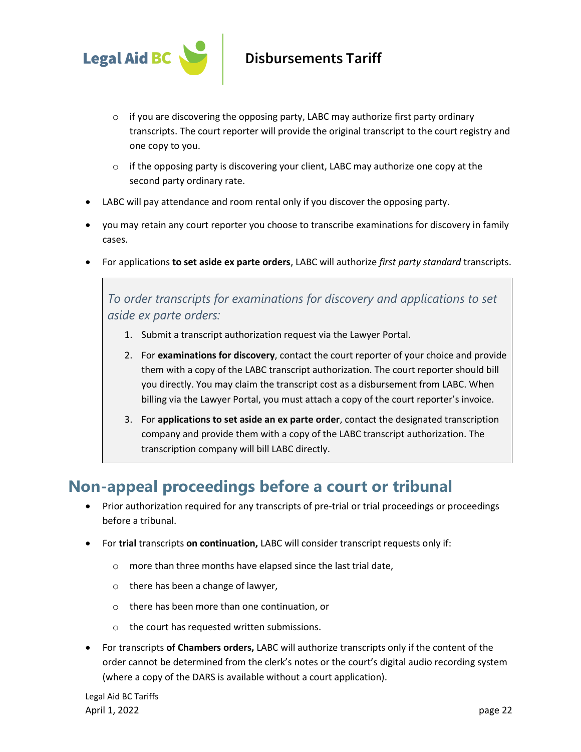

- $\circ$  if you are discovering the opposing party, LABC may authorize first party ordinary transcripts. The court reporter will provide the original transcript to the court registry and one copy to you.
- $\circ$  if the opposing party is discovering your client, LABC may authorize one copy at the second party ordinary rate.
- LABC will pay attendance and room rental only if you discover the opposing party.
- you may retain any court reporter you choose to transcribe examinations for discovery in family cases.
- For applications **to set aside ex parte orders**, LABC will authorize *first party standard* transcripts.

*To order transcripts for examinations for discovery and applications to set aside ex parte orders:*

- 1. Submit a transcript authorization request via the Lawyer Portal.
- 2. For **examinations for discovery**, contact the court reporter of your choice and provide them with a copy of the LABC transcript authorization. The court reporter should bill you directly. You may claim the transcript cost as a disbursement from LABC. When billing via the Lawyer Portal, you must attach a copy of the court reporter's invoice.
- 3. For **applications to set aside an ex parte order**, contact the designated transcription company and provide them with a copy of the LABC transcript authorization. The transcription company will bill LABC directly.

### **Non-appeal proceedings before a court or tribunal**

- Prior authorization required for any transcripts of pre-trial or trial proceedings or proceedings before a tribunal.
- For **trial** transcripts **on continuation,** LABC will consider transcript requests only if:
	- o more than three months have elapsed since the last trial date,
	- o there has been a change of lawyer,
	- o there has been more than one continuation, or
	- o the court has requested written submissions.
- For transcripts **of Chambers orders,** LABC will authorize transcripts only if the content of the order cannot be determined from the clerk's notes or the court's digital audio recording system (where a copy of the DARS is available without a court application).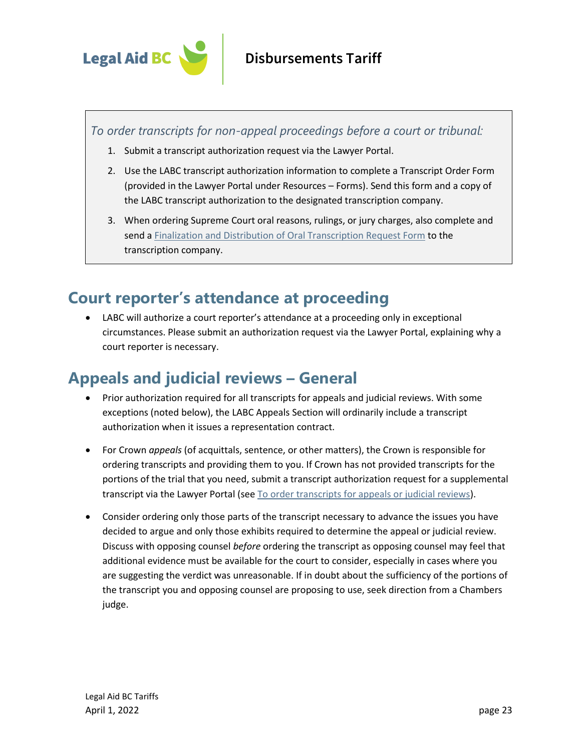

*To order transcripts for non-appeal proceedings before a court or tribunal:*

- 1. Submit a transcript authorization request via the Lawyer Portal.
- 2. Use the LABC transcript authorization information to complete a Transcript Order Form (provided in the Lawyer Portal under Resources – Forms). Send this form and a copy of the LABC transcript authorization to the designated transcription company.
- 3. When ordering Supreme Court oral reasons, rulings, or jury charges, also complete and send a [Finalization and Distribution of Oral Transcription Request Form](https://www2.gov.bc.ca/gov/content/justice/courthouse-services/documents-forms-records/court-transcript/transcribers-forms-information) to the transcription company.

### **Court reporter's attendance at proceeding**

• LABC will authorize a court reporter's attendance at a proceeding only in exceptional circumstances. Please submit an authorization request via the Lawyer Portal, explaining why a court reporter is necessary.

### **Appeals and judicial reviews – General**

- Prior authorization required for all transcripts for appeals and judicial reviews. With some exceptions (noted below), the LABC Appeals Section will ordinarily include a transcript authorization when it issues a representation contract.
- For Crown *appeals* (of acquittals, sentence, or other matters), the Crown is responsible for ordering transcripts and providing them to you. If Crown has not provided transcripts for the portions of the trial that you need, submit a transcript authorization request for a supplemental transcript via the Lawyer Portal (se[e To order transcripts for appeals or judicial reviews\)](#page-25-0).
- Consider ordering only those parts of the transcript necessary to advance the issues you have decided to argue and only those exhibits required to determine the appeal or judicial review. Discuss with opposing counsel *before* ordering the transcript as opposing counsel may feel that additional evidence must be available for the court to consider, especially in cases where you are suggesting the verdict was unreasonable. If in doubt about the sufficiency of the portions of the transcript you and opposing counsel are proposing to use, seek direction from a Chambers judge.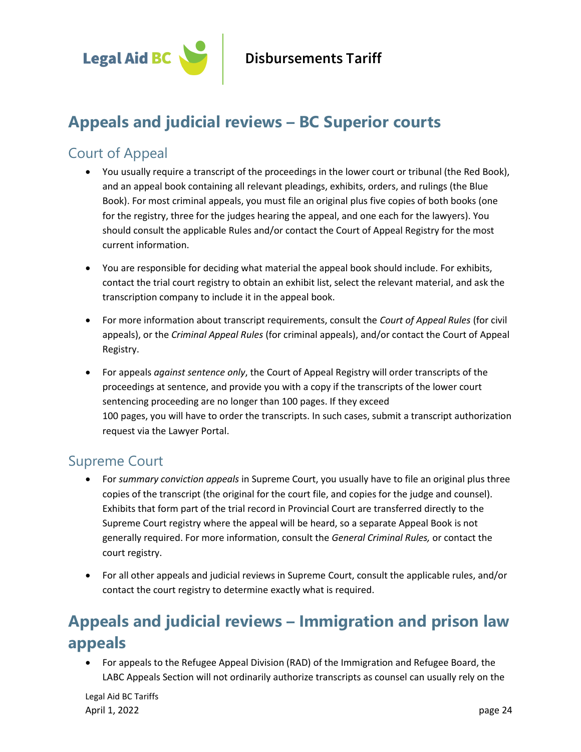

### **Appeals and judicial reviews – BC Superior courts**

#### Court of Appeal

- You usually require a transcript of the proceedings in the lower court or tribunal (the Red Book), and an appeal book containing all relevant pleadings, exhibits, orders, and rulings (the Blue Book). For most criminal appeals, you must file an original plus five copies of both books (one for the registry, three for the judges hearing the appeal, and one each for the lawyers). You should consult the applicable Rules and/or contact the Court of Appeal Registry for the most current information.
- You are responsible for deciding what material the appeal book should include. For exhibits, contact the trial court registry to obtain an exhibit list, select the relevant material, and ask the transcription company to include it in the appeal book.
- For more information about transcript requirements, consult the *Court of Appeal Rules* (for civil appeals), or the *Criminal Appeal Rules* (for criminal appeals), and/or contact the Court of Appeal Registry.
- For appeals *against sentence only*, the Court of Appeal Registry will order transcripts of the proceedings at sentence, and provide you with a copy if the transcripts of the lower court sentencing proceeding are no longer than 100 pages. If they exceed 100 pages, you will have to order the transcripts. In such cases, submit a transcript authorization request via the Lawyer Portal.

#### Supreme Court

- For *summary conviction appeals* in Supreme Court, you usually have to file an original plus three copies of the transcript (the original for the court file, and copies for the judge and counsel). Exhibits that form part of the trial record in Provincial Court are transferred directly to the Supreme Court registry where the appeal will be heard, so a separate Appeal Book is not generally required. For more information, consult the *General Criminal Rules,* or contact the court registry.
- For all other appeals and judicial reviews in Supreme Court, consult the applicable rules, and/or contact the court registry to determine exactly what is required.

# **Appeals and judicial reviews – Immigration and prison law appeals**

• For appeals to the Refugee Appeal Division (RAD) of the Immigration and Refugee Board, the LABC Appeals Section will not ordinarily authorize transcripts as counsel can usually rely on the

Legal Aid BC Tariffs April 1, 2022 page 24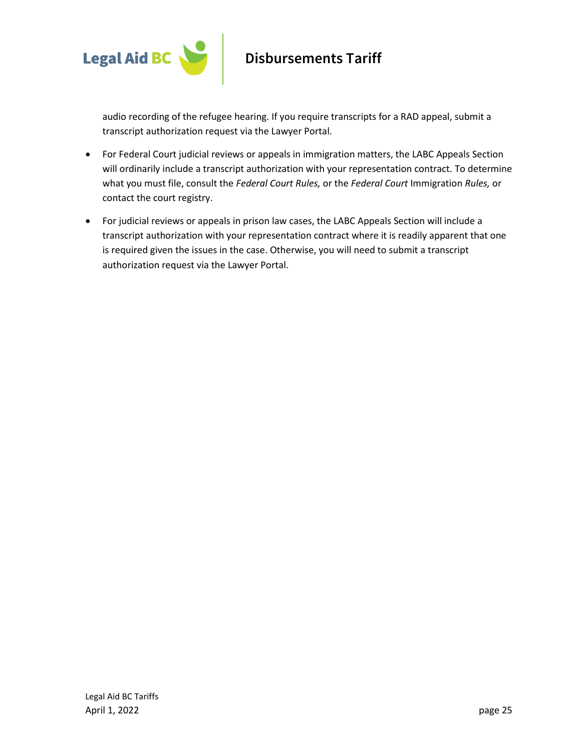

audio recording of the refugee hearing. If you require transcripts for a RAD appeal, submit a transcript authorization request via the Lawyer Portal.

- For Federal Court judicial reviews or appeals in immigration matters, the LABC Appeals Section will ordinarily include a transcript authorization with your representation contract. To determine what you must file, consult the *Federal Court Rules,* or the *Federal Court* Immigration *Rules,* or contact the court registry.
- For judicial reviews or appeals in prison law cases, the LABC Appeals Section will include a transcript authorization with your representation contract where it is readily apparent that one is required given the issues in the case. Otherwise, you will need to submit a transcript authorization request via the Lawyer Portal.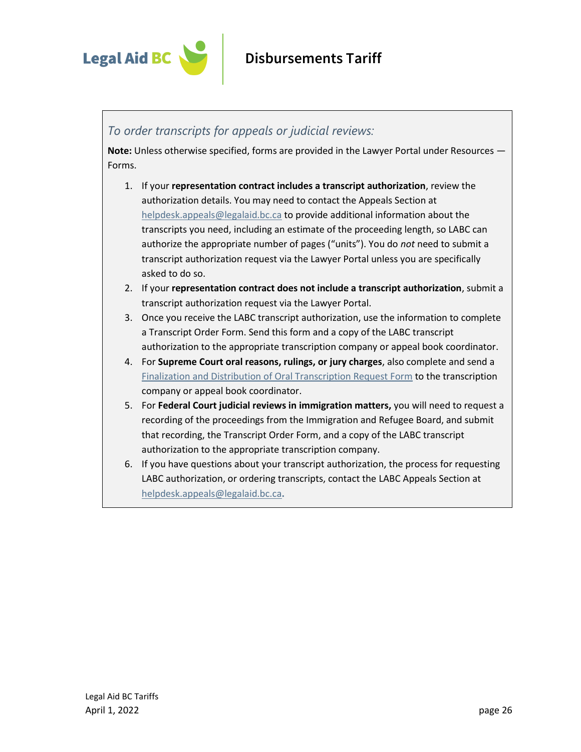

#### <span id="page-25-0"></span>*To order transcripts for appeals or judicial reviews:*

**Note:** Unless otherwise specified, forms are provided in the Lawyer Portal under Resources — Forms.

- 1. If your **representation contract includes a transcript authorization**, review the authorization details. You may need to contact the Appeals Section at [helpdesk.appeals@legalaid.bc.ca](mailto:helpdesk.appeals@legalaid.bc.ca) to provide additional information about the transcripts you need, including an estimate of the proceeding length, so LABC can authorize the appropriate number of pages ("units"). You do *not* need to submit a transcript authorization request via the Lawyer Portal unless you are specifically asked to do so.
- 2. If your **representation contract does not include a transcript authorization**, submit a transcript authorization request via the Lawyer Portal.
- 3. Once you receive the LABC transcript authorization, use the information to complete a Transcript Order Form. Send this form and a copy of the LABC transcript authorization to the appropriate transcription company or appeal book coordinator.
- 4. For **Supreme Court oral reasons, rulings, or jury charges**, also complete and send a [Finalization and Distribution of Oral Transcription Request Form](https://www2.gov.bc.ca/gov/content/justice/courthouse-services/documents-forms-records/court-transcript/transcribers-forms-information) to the transcription company or appeal book coordinator.
- 5. For **Federal Court judicial reviews in immigration matters,** you will need to request a recording of the proceedings from the Immigration and Refugee Board, and submit that recording, the Transcript Order Form, and a copy of the LABC transcript authorization to the appropriate transcription company.
- 6. If you have questions about your transcript authorization, the process for requesting LABC authorization, or ordering transcripts, contact the LABC Appeals Section at [helpdesk.appeals@legalaid.bc.ca](mailto:helpdesk.appeals@legalaid.bc.ca)**.**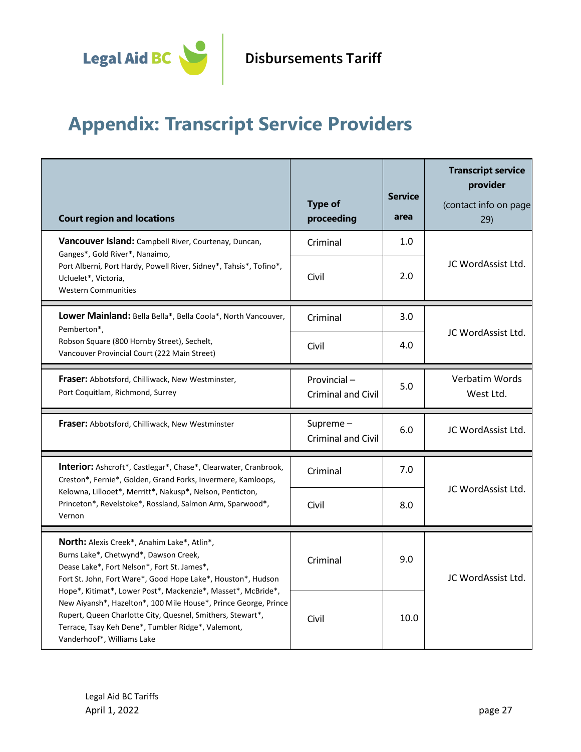

# <span id="page-26-0"></span>**Appendix: Transcript Service Providers**

| <b>Court region and locations</b>                                                                                                                                                                                                                                                                                                                                                                                                                                                               | <b>Type of</b><br>proceeding             | <b>Service</b><br>area | <b>Transcript service</b><br>provider<br>(contact info on page<br>29) |
|-------------------------------------------------------------------------------------------------------------------------------------------------------------------------------------------------------------------------------------------------------------------------------------------------------------------------------------------------------------------------------------------------------------------------------------------------------------------------------------------------|------------------------------------------|------------------------|-----------------------------------------------------------------------|
| Vancouver Island: Campbell River, Courtenay, Duncan,<br>Ganges*, Gold River*, Nanaimo,                                                                                                                                                                                                                                                                                                                                                                                                          | Criminal                                 | 1.0                    |                                                                       |
| Port Alberni, Port Hardy, Powell River, Sidney*, Tahsis*, Tofino*,<br>Ucluelet*, Victoria,<br><b>Western Communities</b>                                                                                                                                                                                                                                                                                                                                                                        | Civil                                    | 2.0                    | JC WordAssist Ltd.                                                    |
| Lower Mainland: Bella Bella*, Bella Coola*, North Vancouver,                                                                                                                                                                                                                                                                                                                                                                                                                                    | Criminal                                 | 3.0                    |                                                                       |
| Pemberton*,<br>Robson Square (800 Hornby Street), Sechelt,<br>Vancouver Provincial Court (222 Main Street)                                                                                                                                                                                                                                                                                                                                                                                      | Civil                                    | 4.0                    | JC WordAssist Ltd.                                                    |
| Fraser: Abbotsford, Chilliwack, New Westminster,<br>Port Coquitlam, Richmond, Surrey                                                                                                                                                                                                                                                                                                                                                                                                            | Provincial-<br><b>Criminal and Civil</b> | 5.0                    | Verbatim Words<br>West Ltd.                                           |
| Fraser: Abbotsford, Chilliwack, New Westminster                                                                                                                                                                                                                                                                                                                                                                                                                                                 | Supreme-<br><b>Criminal and Civil</b>    | 6.0                    | JC WordAssist Ltd.                                                    |
| <b>Interior:</b> Ashcroft*, Castlegar*, Chase*, Clearwater, Cranbrook,<br>Creston*, Fernie*, Golden, Grand Forks, Invermere, Kamloops,                                                                                                                                                                                                                                                                                                                                                          | Criminal                                 | 7.0                    | JC WordAssist Ltd.                                                    |
| Kelowna, Lillooet*, Merritt*, Nakusp*, Nelson, Penticton,<br>Princeton*, Revelstoke*, Rossland, Salmon Arm, Sparwood*,<br>Vernon                                                                                                                                                                                                                                                                                                                                                                | Civil                                    | 8.0                    |                                                                       |
| <b>North:</b> Alexis Creek*, Anahim Lake*, Atlin*,<br>Burns Lake*, Chetwynd*, Dawson Creek,<br>Dease Lake*, Fort Nelson*, Fort St. James*,<br>Fort St. John, Fort Ware*, Good Hope Lake*, Houston*, Hudson<br>Hope*, Kitimat*, Lower Post*, Mackenzie*, Masset*, McBride*,<br>New Aiyansh*, Hazelton*, 100 Mile House*, Prince George, Prince<br>Rupert, Queen Charlotte City, Quesnel, Smithers, Stewart*,<br>Terrace, Tsay Keh Dene*, Tumbler Ridge*, Valemont,<br>Vanderhoof*, Williams Lake | Criminal                                 | 9.0                    | JC WordAssist Ltd.                                                    |
|                                                                                                                                                                                                                                                                                                                                                                                                                                                                                                 | Civil                                    | 10.0                   |                                                                       |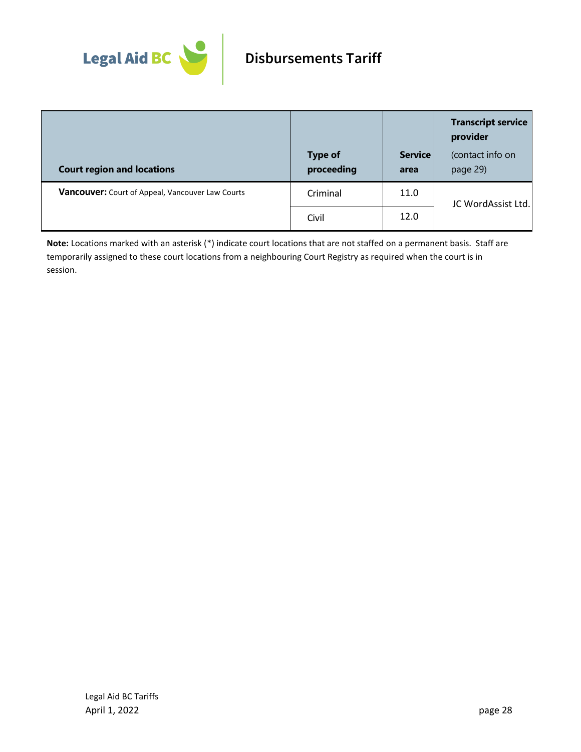

|                                                  |                              |                        | <b>Transcript service</b><br>provider |
|--------------------------------------------------|------------------------------|------------------------|---------------------------------------|
| <b>Court region and locations</b>                | <b>Type of</b><br>proceeding | <b>Service</b><br>area | (contact info on<br>page 29)          |
| Vancouver: Court of Appeal, Vancouver Law Courts | Criminal                     | 11.0                   | JC WordAssist Ltd.                    |
|                                                  | Civil                        | 12.0                   |                                       |

**Note:** Locations marked with an asterisk (\*) indicate court locations that are not staffed on a permanent basis. Staff are temporarily assigned to these court locations from a neighbouring Court Registry as required when the court is in session.